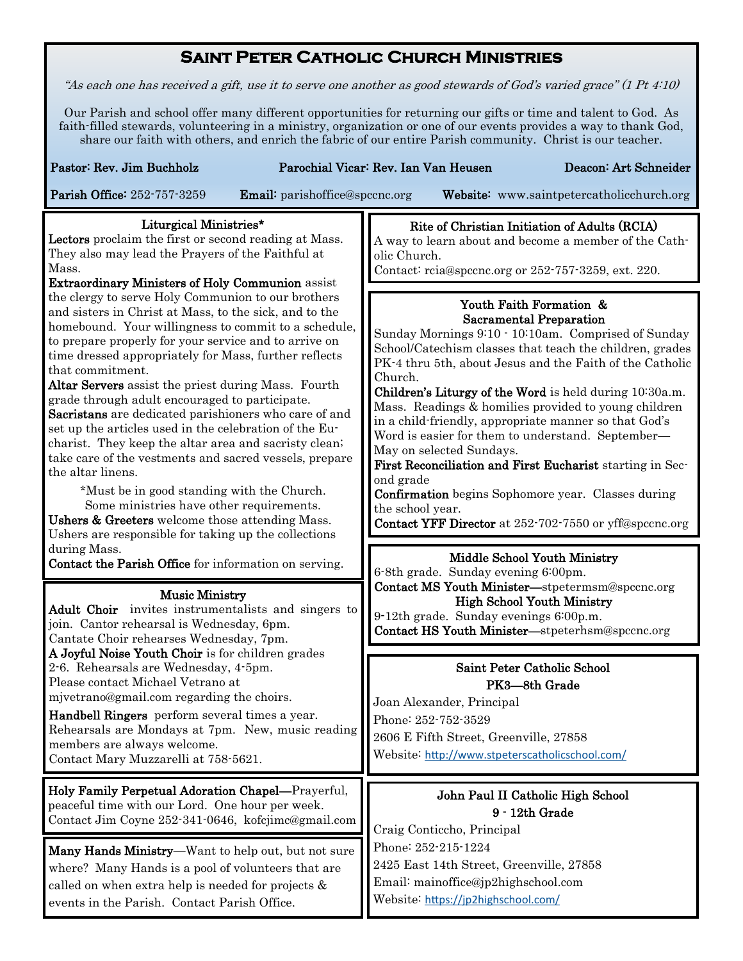## **Saint Peter Catholic Church Ministries**

"As each one has received a gift, use it to serve one another as good stewards of God's varied grace" (1 Pt 4:10)

Our Parish and school offer many different opportunities for returning our gifts or time and talent to God. As faith-filled stewards, volunteering in a ministry, organization or one of our events provides a way to thank God, share our faith with others, and enrich the fabric of our entire Parish community. Christ is our teacher.

| Pastor: Rev. Jim Buchholz<br>Parochial Vicar: Rev. Ian Van Heusen<br>Deacon: Art Schneider<br>Parish Office: 252-757-3259<br><b>Email:</b> parishoffice@spccnc.org<br>Website: www.saintpetercatholicchurch.org                                                                                                                                                                                                                                                                                                                                                                                                                                                                                                                                                                                                                                                                                     |                                                                                                                                                                                                                                                                                                                                                                                                                                                                                                                                                                                                                                                                                                                                                                                     |
|-----------------------------------------------------------------------------------------------------------------------------------------------------------------------------------------------------------------------------------------------------------------------------------------------------------------------------------------------------------------------------------------------------------------------------------------------------------------------------------------------------------------------------------------------------------------------------------------------------------------------------------------------------------------------------------------------------------------------------------------------------------------------------------------------------------------------------------------------------------------------------------------------------|-------------------------------------------------------------------------------------------------------------------------------------------------------------------------------------------------------------------------------------------------------------------------------------------------------------------------------------------------------------------------------------------------------------------------------------------------------------------------------------------------------------------------------------------------------------------------------------------------------------------------------------------------------------------------------------------------------------------------------------------------------------------------------------|
| Liturgical Ministries*<br>Lectors proclaim the first or second reading at Mass.<br>They also may lead the Prayers of the Faithful at<br>Mass.<br><b>Extraordinary Ministers of Holy Communion</b> assist                                                                                                                                                                                                                                                                                                                                                                                                                                                                                                                                                                                                                                                                                            | Rite of Christian Initiation of Adults (RCIA)<br>A way to learn about and become a member of the Cath-<br>olic Church.<br>Contact: reia@specne.org or 252-757-3259, ext. 220.                                                                                                                                                                                                                                                                                                                                                                                                                                                                                                                                                                                                       |
| the clergy to serve Holy Communion to our brothers<br>and sisters in Christ at Mass, to the sick, and to the<br>homebound. Your willingness to commit to a schedule,<br>to prepare properly for your service and to arrive on<br>time dressed appropriately for Mass, further reflects<br>that commitment.<br>Altar Servers assist the priest during Mass. Fourth<br>grade through adult encouraged to participate.<br>Sacristans are dedicated parishioners who care of and<br>set up the articles used in the celebration of the Eu-<br>charist. They keep the altar area and sacristy clean;<br>take care of the vestments and sacred vessels, prepare<br>the altar linens.<br>*Must be in good standing with the Church.<br>Some ministries have other requirements.<br>Ushers & Greeters welcome those attending Mass.<br>Ushers are responsible for taking up the collections<br>during Mass. | Youth Faith Formation &<br><b>Sacramental Preparation</b><br>Sunday Mornings 9:10 · 10:10am. Comprised of Sunday<br>School/Catechism classes that teach the children, grades<br>PK-4 thru 5th, about Jesus and the Faith of the Catholic<br>Church.<br>Children's Liturgy of the Word is held during 10:30a.m.<br>Mass. Readings & homilies provided to young children<br>in a child-friendly, appropriate manner so that God's<br>Word is easier for them to understand. September-<br>May on selected Sundays.<br>First Reconciliation and First Eucharist starting in Sec-<br>ond grade<br><b>Confirmation</b> begins Sophomore year. Classes during<br>the school year.<br><b>Contact YFF Director</b> at 252-702-7550 or yff@spccnc.org<br><b>Middle School Youth Ministry</b> |
| Contact the Parish Office for information on serving.<br><b>Music Ministry</b><br><b>Adult Choir</b> invites instrumentalists and singers to<br>join. Cantor rehearsal is Wednesday, 6pm.<br>Cantate Choir rehearses Wednesday, 7pm.<br>A Joyful Noise Youth Choir is for children grades<br>2-6. Rehearsals are Wednesday, 4-5pm.<br>Please contact Michael Vetrano at<br>mjvetrano@gmail.com regarding the choirs.<br>Handbell Ringers perform several times a year.<br>Rehearsals are Mondays at 7pm. New, music reading<br>members are always welcome.<br>Contact Mary Muzzarelli at 758-5621.                                                                                                                                                                                                                                                                                                  | 6-8th grade. Sunday evening 6:00pm.<br>Contact MS Youth Minister-stpetermsm@spccnc.org<br><b>High School Youth Ministry</b><br>9-12th grade. Sunday evenings 6:00p.m.<br>Contact HS Youth Minister-stpeterhsm@spccnc.org                                                                                                                                                                                                                                                                                                                                                                                                                                                                                                                                                            |
|                                                                                                                                                                                                                                                                                                                                                                                                                                                                                                                                                                                                                                                                                                                                                                                                                                                                                                     | Saint Peter Catholic School<br>PK3-8th Grade<br>Joan Alexander, Principal<br>Phone: 252-752-3529<br>2606 E Fifth Street, Greenville, 27858<br>Website: http://www.stpeterscatholicschool.com/                                                                                                                                                                                                                                                                                                                                                                                                                                                                                                                                                                                       |
| Holy Family Perpetual Adoration Chapel-Prayerful,<br>peaceful time with our Lord. One hour per week.<br>Contact Jim Coyne 252-341-0646, kofcjimc@gmail.com<br>Many Hands Ministry—Want to help out, but not sure<br>where? Many Hands is a pool of volunteers that are                                                                                                                                                                                                                                                                                                                                                                                                                                                                                                                                                                                                                              | John Paul II Catholic High School<br>9 - 12th Grade<br>Craig Conticcho, Principal<br>Phone: 252-215-1224<br>2425 East 14th Street, Greenville, 27858<br>Email: mainoffice@jp2highschool.com                                                                                                                                                                                                                                                                                                                                                                                                                                                                                                                                                                                         |
| called on when extra help is needed for projects $\&$<br>events in the Parish. Contact Parish Office.                                                                                                                                                                                                                                                                                                                                                                                                                                                                                                                                                                                                                                                                                                                                                                                               | Website: https://jp2highschool.com/                                                                                                                                                                                                                                                                                                                                                                                                                                                                                                                                                                                                                                                                                                                                                 |